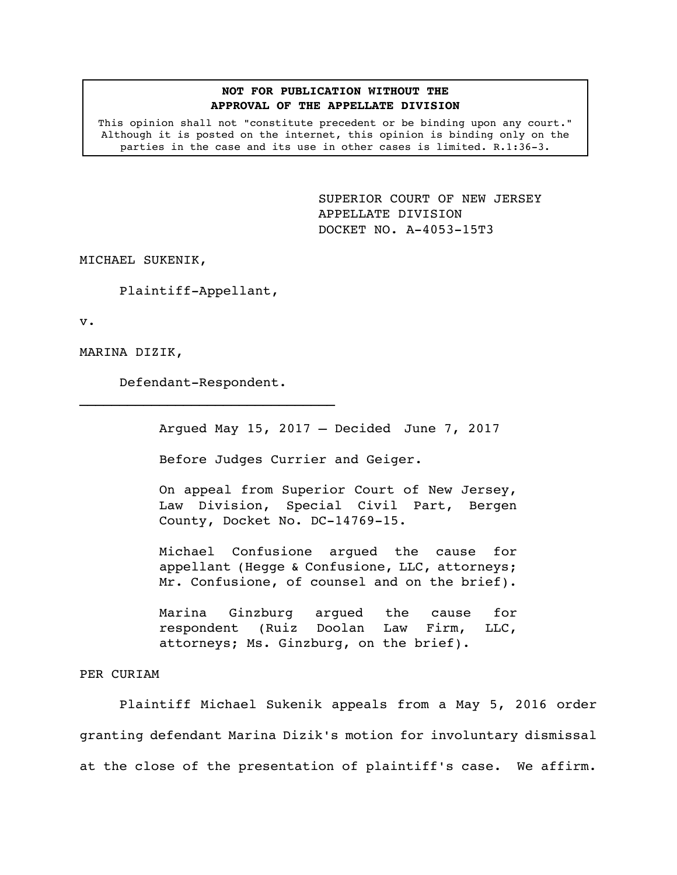## **NOT FOR PUBLICATION WITHOUT THE APPROVAL OF THE APPELLATE DIVISION**

This opinion shall not "constitute precedent or be binding upon any court." Although it is posted on the internet, this opinion is binding only on the parties in the case and its use in other cases is limited. R.1:36-3.

> <span id="page-0-0"></span>SUPERIOR COURT OF NEW JERSEY APPELLATE DIVISION DOCKET NO. A-4053-15T3

MICHAEL SUKENIK,

Plaintiff-Appellant,

v.

MARINA DIZIK,

Defendant-Respondent.  $\mathcal{L}_\text{max}$ 

Argued May 15, 2017 – Decided June 7, 2017

Before Judges Currier and Geiger.

On appeal from Superior Court of New Jersey, Law Division, Special Civil Part, Bergen County, Docket No. DC-14769-15.

Michael Confusione argued the cause for appellant (Hegge & Confusione, LLC, attorneys; Mr. Confusione, of counsel and on the brief).

Marina Ginzburg argued the cause for respondent (Ruiz Doolan Law Firm, LLC, attorneys; Ms. Ginzburg, on the brief).

## PER CURIAM

Plaintiff Michael Sukenik appeals from a May 5, 2016 order granting defendant Marina Dizik's motion for involuntary dismissal at the close of the presentation of plaintiff's case. We affirm.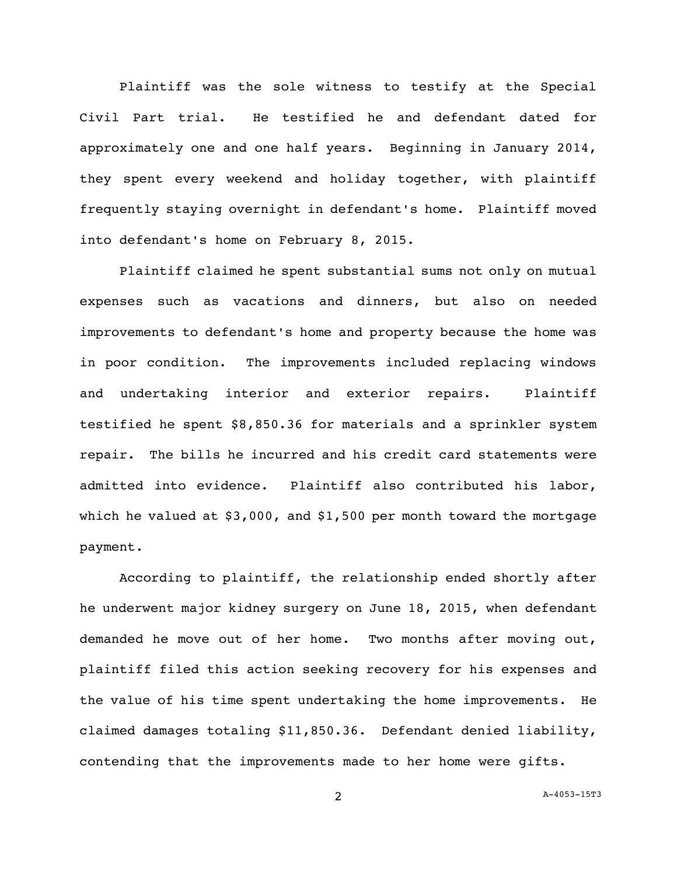Plaintiff was the sole witness to testify at the Special Civil Part trial. He testified he and defendant dated for approximately one and one half years. Beginning in January 2014, they spent every weekend and holiday together, with plaintiff frequently staying overnight in defendant's home. Plaintiff moved into defendant's home on February 8, 2015.

Plaintiff claimed he spent substantial sums not only on mutual expenses such as vacations and dinners, but also on needed improvements to defendant's home and property because the home was in poor condition. The improvements included replacing windows and undertaking interior and exterior repairs. Plaintiff testified he spent \$8,850.36 for materials and a sprinkler system repair. The bills he incurred and his credit card statements were admitted into evidence. Plaintiff also contributed his labor, which he valued at \$3,000, and \$1,500 per month toward the mortgage payment.

According to plaintiff, the relationship ended shortly after he underwent major kidney surgery on June 18, 2015, when defendant demanded he move out of her home. Two months after moving out, plaintiff filed this action seeking recovery for his expenses and the value of his time spent undertaking the home improvements. He claimed damages totaling \$11,850.36. Defendant denied liability, contending that the improvements made to her home were gifts.

2 A[-4053-15T3](#page-0-0)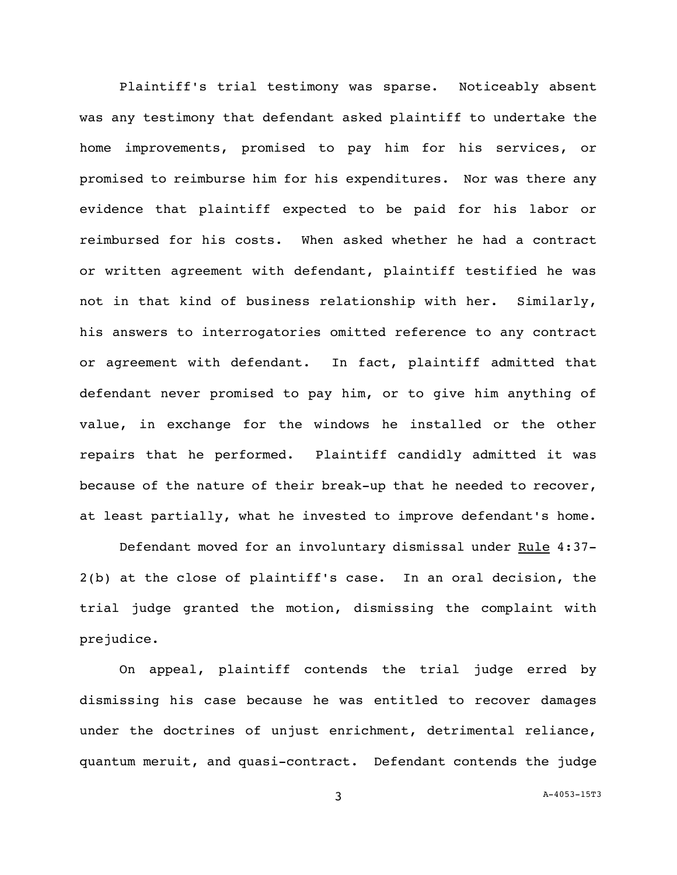Plaintiff's trial testimony was sparse. Noticeably absent was any testimony that defendant asked plaintiff to undertake the home improvements, promised to pay him for his services, or promised to reimburse him for his expenditures. Nor was there any evidence that plaintiff expected to be paid for his labor or reimbursed for his costs. When asked whether he had a contract or written agreement with defendant, plaintiff testified he was not in that kind of business relationship with her. Similarly, his answers to interrogatories omitted reference to any contract or agreement with defendant. In fact, plaintiff admitted that defendant never promised to pay him, or to give him anything of value, in exchange for the windows he installed or the other repairs that he performed. Plaintiff candidly admitted it was because of the nature of their break-up that he needed to recover, at least partially, what he invested to improve defendant's home.

Defendant moved for an involuntary dismissal under Rule 4:37-2(b) at the close of plaintiff's case. In an oral decision, the trial judge granted the motion, dismissing the complaint with prejudice.

On appeal, plaintiff contends the trial judge erred by dismissing his case because he was entitled to recover damages under the doctrines of unjust enrichment, detrimental reliance, quantum meruit, and quasi-contract. Defendant contends the judge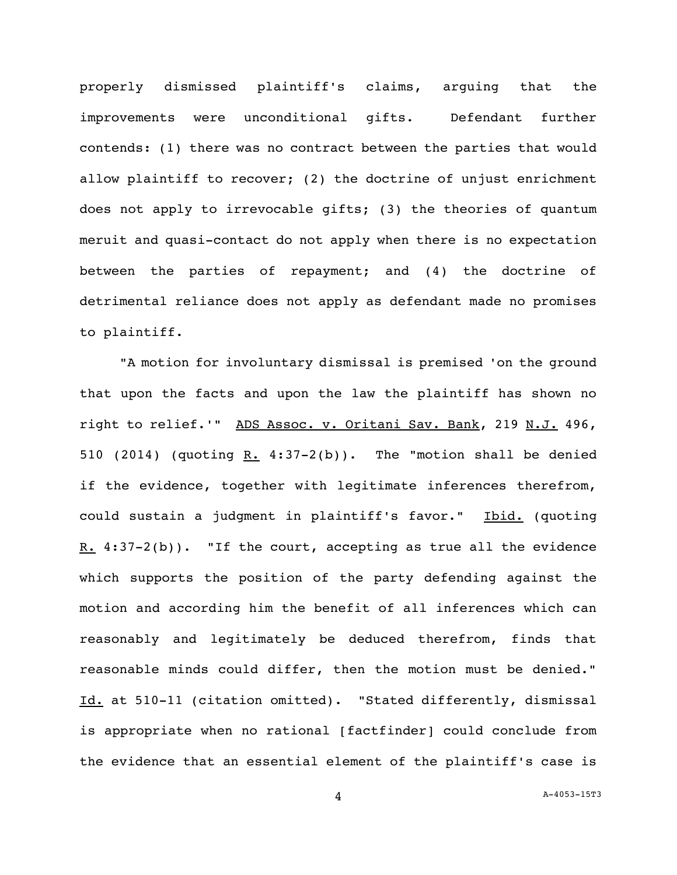properly dismissed plaintiff's claims, arguing that the improvements were unconditional gifts. Defendant further contends: (1) there was no contract between the parties that would allow plaintiff to recover; (2) the doctrine of unjust enrichment does not apply to irrevocable gifts; (3) the theories of quantum meruit and quasi-contact do not apply when there is no expectation between the parties of repayment; and (4) the doctrine of detrimental reliance does not apply as defendant made no promises to plaintiff.

"A motion for involuntary dismissal is premised 'on the ground that upon the facts and upon the law the plaintiff has shown no right to relief.'" ADS Assoc. v. Oritani Sav. Bank, 219 N.J. 496, 510 (2014) (quoting  $R. 4:37-2(b)$ ). The "motion shall be denied if the evidence, together with legitimate inferences therefrom, could sustain a judgment in plaintiff's favor." Ibid. (quoting R.  $4:37-2(b)$ . "If the court, accepting as true all the evidence which supports the position of the party defending against the motion and according him the benefit of all inferences which can reasonably and legitimately be deduced therefrom, finds that reasonable minds could differ, then the motion must be denied." Id. at 510-11 (citation omitted). "Stated differently, dismissal is appropriate when no rational [factfinder] could conclude from the evidence that an essential element of the plaintiff's case is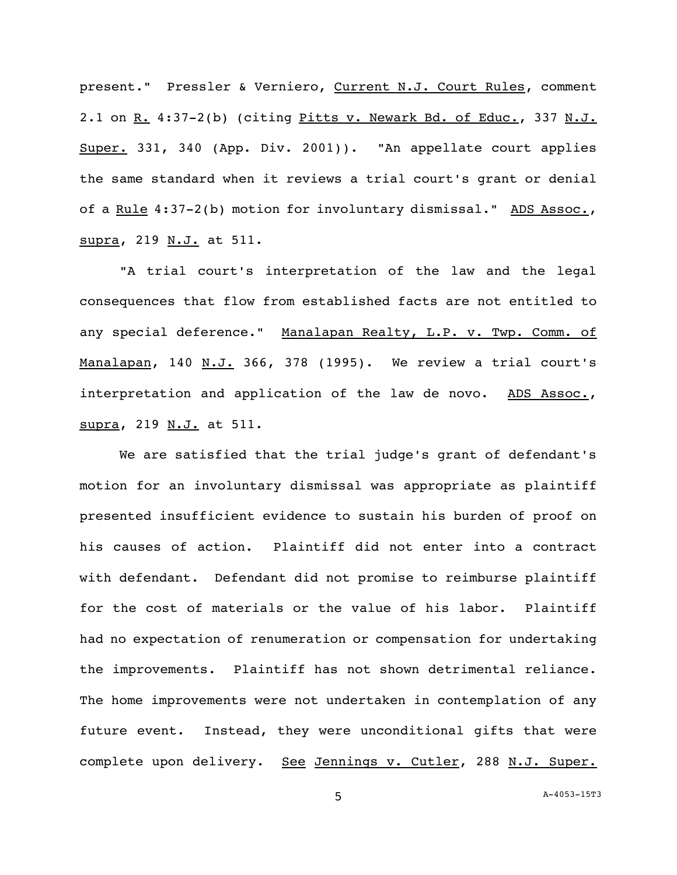present." Pressler & Verniero, Current N.J. Court Rules, comment 2.1 on R. 4:37-2(b) (citing Pitts v. Newark Bd. of Educ., 337 N.J. Super. 331, 340 (App. Div. 2001)). "An appellate court applies the same standard when it reviews a trial court's grant or denial of a <u>Rule</u> 4:37-2(b) motion for involuntary dismissal." ADS Assoc., supra, 219 N.J. at 511.

"A trial court's interpretation of the law and the legal consequences that flow from established facts are not entitled to any special deference." Manalapan Realty, L.P. v. Twp. Comm. of Manalapan, 140 N.J. 366, 378 (1995). We review a trial court's interpretation and application of the law de novo. ADS Assoc., supra, 219 N.J. at 511.

We are satisfied that the trial judge's grant of defendant's motion for an involuntary dismissal was appropriate as plaintiff presented insufficient evidence to sustain his burden of proof on his causes of action. Plaintiff did not enter into a contract with defendant. Defendant did not promise to reimburse plaintiff for the cost of materials or the value of his labor. Plaintiff had no expectation of renumeration or compensation for undertaking the improvements. Plaintiff has not shown detrimental reliance. The home improvements were not undertaken in contemplation of any future event. Instead, they were unconditional gifts that were complete upon delivery. See Jennings v. Cutler, 288 N.J. Super.